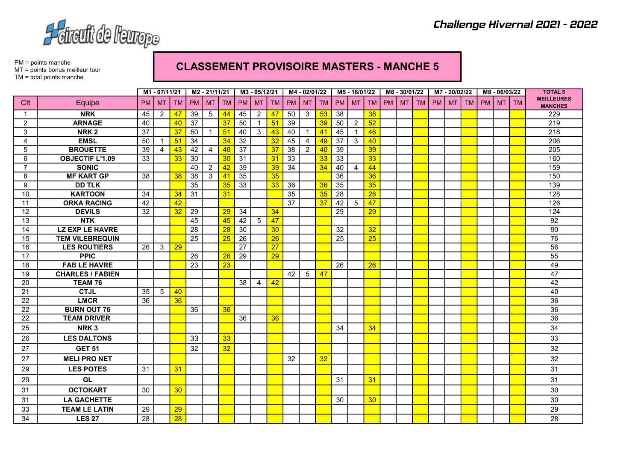

PM = points manche MT = points bonus meilleur tour TM = total points manche

## CLASSEMENT PROVISOIRE MASTERS - MANCHE 5

|                |                         | M1-07/11/21 |                | M2 - 21/11/21 |                 |                | M3 - 05/12/21 |                 |                | M4 - 02/01/22   |           |                | M5 - 16/01/22 |           |                | M6 - 30/01/22   |    |           | M7-20/02/22 |           |           |           | M8 - 06/03/22 |           | <b>TOTAL 5</b> |                                     |
|----------------|-------------------------|-------------|----------------|---------------|-----------------|----------------|---------------|-----------------|----------------|-----------------|-----------|----------------|---------------|-----------|----------------|-----------------|----|-----------|-------------|-----------|-----------|-----------|---------------|-----------|----------------|-------------------------------------|
| Clt            | Equipe                  | <b>PM</b>   | <b>MT</b>      | <b>TM</b>     | <b>PM</b>       | <b>MT</b>      | <b>TM</b>     | PM I            | <b>MT</b>      | <b>TM</b>       | <b>PM</b> | <b>MT</b>      | <b>TM</b>     | <b>PM</b> | MT             | <b>TM</b>       | PM | <b>MT</b> | <b>TM</b>   | <b>PM</b> | <b>MT</b> | <b>TM</b> | PM            | <b>MT</b> | <b>TM</b>      | <b>MEILLEURES</b><br><b>MANCHES</b> |
| $\mathbf{1}$   | <b>NRK</b>              | 45          | $\overline{2}$ | 47            | 39              | 5              | 44            | 45              | $\overline{2}$ | 47              | 50        | 3              | 53            | 38        |                | 38              |    |           |             |           |           |           |               |           |                | 229                                 |
| $\overline{2}$ | <b>ARNAGE</b>           | 40          |                | 40            | 37              |                | 37            | 50              | $\mathbf{1}$   | 51              | 39        |                | 39            | 50        | 2              | $\overline{52}$ |    |           |             |           |           |           |               |           |                | $\overline{219}$                    |
| 3              | NRK <sub>2</sub>        | 37          |                | 37            | 50              | $\overline{1}$ | 51            | 40              | 3 <sup>1</sup> | 43              | 40        | $\mathbf{1}$   | 41            | 45        | $\overline{1}$ | 46              |    |           |             |           |           |           |               |           |                | $\overline{218}$                    |
| 4              | <b>EMSL</b>             | 50          |                | 51            | 34              |                | 34            | 32              |                | 32              | 45        | 4              | 49            | 37        | 3              | 40              |    |           |             |           |           |           |               |           |                | 206                                 |
| 5              | <b>BROUETTE</b>         | 39          | $\overline{4}$ | 43            | 42              | $\overline{4}$ | 46            | $\overline{37}$ |                | 37              | 38        | $\overline{2}$ | 40            | 39        |                | 39              |    |           |             |           |           |           |               |           |                | 205                                 |
| 6              | <b>OBJECTIF L'1.09</b>  | 33          |                | 33            | 30              |                | 30            | 31              |                | 31              | 33        |                | 33            | 33        |                | 33              |    |           |             |           |           |           |               |           |                | 160                                 |
| $\overline{7}$ | <b>SONIC</b>            |             |                |               | 40              | $\overline{2}$ | 42            | 39              |                | 39              | 34        |                | 34            | 40        | 4              | 44              |    |           |             |           |           |           |               |           |                | 159                                 |
| 8              | <b>MF KART GP</b>       | 38          |                | 38            | 38              | 3              | 41            | 35              |                | 35              |           |                |               | 36        |                | 36              |    |           |             |           |           |           |               |           |                | 150                                 |
| 9              | <b>DD TLK</b>           |             |                |               | 35              |                | 35            | 33              |                | 33              | 36        |                | 36            | 35        |                | 35              |    |           |             |           |           |           |               |           |                | 139                                 |
| 10             | <b>KARTOON</b>          | 34          |                | 34            | 31              |                | 31            |                 |                |                 | 35        |                | 35            | 28        |                | $\overline{28}$ |    |           |             |           |           |           |               |           |                | 128                                 |
| 11             | <b>ORKA RACING</b>      | 42          |                | 42            |                 |                |               |                 |                |                 | 37        |                | 37            | 42        | 5              | 47              |    |           |             |           |           |           |               |           |                | 126                                 |
| 12             | <b>DEVILS</b>           | 32          |                | 32            | 29              |                | 29            | 34              |                | 34              |           |                |               | 29        |                | 29              |    |           |             |           |           |           |               |           |                | 124                                 |
| 13             | <b>NTK</b>              |             |                |               | 45              |                | 45            | 42              | 5 <sup>5</sup> | 47              |           |                |               |           |                |                 |    |           |             |           |           |           |               |           |                | 92                                  |
| 14             | <b>LZ EXP LE HAVRE</b>  |             |                |               | 28              |                | 28            | 30              |                | 30 <sub>o</sub> |           |                |               | 32        |                | 32              |    |           |             |           |           |           |               |           |                | 90                                  |
| 15             | <b>TEM VILEBREQUIN</b>  |             |                |               | $\overline{25}$ |                | 25            | $\overline{26}$ |                | 26              |           |                |               | 25        |                | $\overline{25}$ |    |           |             |           |           |           |               |           |                | 76                                  |
| 16             | <b>LES ROUTIERS</b>     | 26          | 3              | 29            |                 |                |               | 27              |                | 27              |           |                |               |           |                |                 |    |           |             |           |           |           |               |           |                | 56                                  |
| 17             | <b>PPIC</b>             |             |                |               | $\overline{26}$ |                | 26            | $\overline{29}$ |                | 29              |           |                |               |           |                |                 |    |           |             |           |           |           |               |           |                | 55                                  |
| 18             | <b>FAB LE HAVRE</b>     |             |                |               | 23              |                | 23            |                 |                |                 |           |                |               | 26        |                | 26              |    |           |             |           |           |           |               |           |                | 49                                  |
| 19             | <b>CHARLES / FABIEN</b> |             |                |               |                 |                |               |                 |                |                 | 42        | 5              | 47            |           |                |                 |    |           |             |           |           |           |               |           |                | 47                                  |
| 20             | TEAM 76                 |             |                |               |                 |                |               | 38              | 4              | 42              |           |                |               |           |                |                 |    |           |             |           |           |           |               |           |                | 42                                  |
| 21             | <b>CTJL</b>             | 35          | 5              | 40            |                 |                |               |                 |                |                 |           |                |               |           |                |                 |    |           |             |           |           |           |               |           |                | 40                                  |
| 22             | <b>LMCR</b>             | 36          |                | 36            |                 |                |               |                 |                |                 |           |                |               |           |                |                 |    |           |             |           |           |           |               |           |                | 36                                  |
| 22             | <b>BURN OUT 76</b>      |             |                |               | 36              |                | 36            |                 |                |                 |           |                |               |           |                |                 |    |           |             |           |           |           |               |           |                | 36                                  |
| 22             | <b>TEAM DRIVER</b>      |             |                |               |                 |                |               | 36              |                | 36              |           |                |               |           |                |                 |    |           |             |           |           |           |               |           |                | 36                                  |
| 25             | NRK <sub>3</sub>        |             |                |               |                 |                |               |                 |                |                 |           |                |               | 34        |                | 34              |    |           |             |           |           |           |               |           |                | 34                                  |
| 26             | <b>LES DALTONS</b>      |             |                |               | 33              |                | 33            |                 |                |                 |           |                |               |           |                |                 |    |           |             |           |           |           |               |           |                | 33                                  |
| 27             | <b>GET 51</b>           |             |                |               | 32              |                | 32            |                 |                |                 |           |                |               |           |                |                 |    |           |             |           |           |           |               |           |                | 32                                  |
| 27             | <b>MELI PRO NET</b>     |             |                |               |                 |                |               |                 |                |                 | 32        |                | 32            |           |                |                 |    |           |             |           |           |           |               |           |                | 32                                  |
| 29             | <b>LES POTES</b>        | 31          |                | 31            |                 |                |               |                 |                |                 |           |                |               |           |                |                 |    |           |             |           |           |           |               |           |                | 31                                  |
| 29             | GL                      |             |                |               |                 |                |               |                 |                |                 |           |                |               | 31        |                | 31              |    |           |             |           |           |           |               |           |                | 31                                  |
| 31             | <b>OCTOKART</b>         | 30          |                | 30            |                 |                |               |                 |                |                 |           |                |               |           |                |                 |    |           |             |           |           |           |               |           |                | 30                                  |
| 31             | <b>LA GACHETTE</b>      |             |                |               |                 |                |               |                 |                |                 |           |                |               | 30        |                | 30 <sub>o</sub> |    |           |             |           |           |           |               |           |                | 30                                  |
| 33             | <b>TEAM LE LATIN</b>    | 29          |                | 29            |                 |                |               |                 |                |                 |           |                |               |           |                |                 |    |           |             |           |           |           |               |           |                | 29                                  |
| 34             | <b>LES 27</b>           | 28          |                | 28            |                 |                |               |                 |                |                 |           |                |               |           |                |                 |    |           |             |           |           |           |               |           |                | 28                                  |